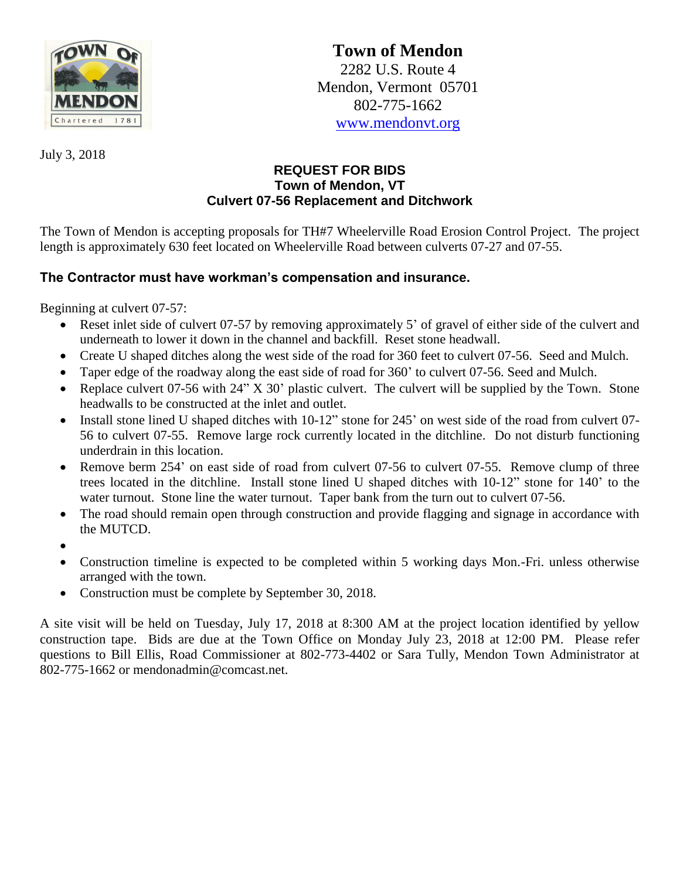

**Town of Mendon** 2282 U.S. Route 4 Mendon, Vermont 05701 802-775-1662 [www.mendonvt.org](http://www.mendonvt.org/)

July 3, 2018

## **REQUEST FOR BIDS Town of Mendon, VT Culvert 07-56 Replacement and Ditchwork**

The Town of Mendon is accepting proposals for TH#7 Wheelerville Road Erosion Control Project. The project length is approximately 630 feet located on Wheelerville Road between culverts 07-27 and 07-55.

## **The Contractor must have workman's compensation and insurance.**

Beginning at culvert 07-57:

- Reset inlet side of culvert 07-57 by removing approximately 5' of gravel of either side of the culvert and underneath to lower it down in the channel and backfill. Reset stone headwall.
- Create U shaped ditches along the west side of the road for 360 feet to culvert 07-56. Seed and Mulch.
- Taper edge of the roadway along the east side of road for 360' to culvert 07-56. Seed and Mulch.
- Replace culvert 07-56 with 24" X 30' plastic culvert. The culvert will be supplied by the Town. Stone headwalls to be constructed at the inlet and outlet.
- Install stone lined U shaped ditches with 10-12" stone for 245' on west side of the road from culvert 07-56 to culvert 07-55. Remove large rock currently located in the ditchline. Do not disturb functioning underdrain in this location.
- Remove berm 254' on east side of road from culvert 07-56 to culvert 07-55. Remove clump of three trees located in the ditchline. Install stone lined U shaped ditches with 10-12" stone for 140' to the water turnout. Stone line the water turnout. Taper bank from the turn out to culvert 07-56.
- The road should remain open through construction and provide flagging and signage in accordance with the MUTCD.
- $\bullet$
- Construction timeline is expected to be completed within 5 working days Mon.-Fri. unless otherwise arranged with the town.
- Construction must be complete by September 30, 2018.

A site visit will be held on Tuesday, July 17, 2018 at 8:300 AM at the project location identified by yellow construction tape. Bids are due at the Town Office on Monday July 23, 2018 at 12:00 PM. Please refer questions to Bill Ellis, Road Commissioner at 802-773-4402 or Sara Tully, Mendon Town Administrator at 802-775-1662 or mendonadmin@comcast.net.